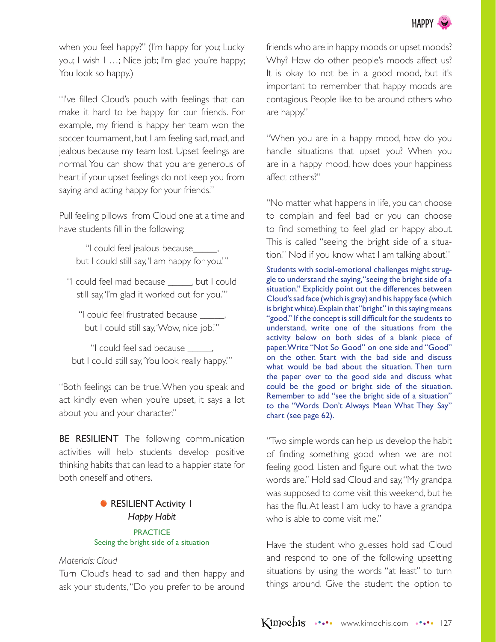

when you feel happy?" (I'm happy for you; Lucky you; I wish I …; Nice job; I'm glad you're happy; You look so happy.)

"I've filled Cloud's pouch with feelings that can make it hard to be happy for our friends. For example, my friend is happy her team won the soccer tournament, but I am feeling sad, mad, and jealous because my team lost. Upset feelings are normal. You can show that you are generous of heart if your upset feelings do not keep you from saying and acting happy for your friends."

Pull feeling pillows from Cloud one at a time and have students fill in the following:

"I could feel jealous because\_\_\_\_\_, but I could still say, 'I am happy for you.'"

"I could feel mad because \_\_\_\_\_, but I could still say, 'I'm glad it worked out for you.'"

"I could feel frustrated because \_\_\_\_\_, but I could still say, 'Wow, nice job.'"

"I could feel sad because \_\_\_\_\_, but I could still say, 'You look really happy.'"

"Both feelings can be true. When you speak and act kindly even when you're upset, it says a lot about you and your character."

**BE RESILIENT** The following communication activities will help students develop positive thinking habits that can lead to a happier state for both oneself and others.

# **• RESILIENT Activity 1** *Happy Habit*

#### **PRACTICE** Seeing the bright side of a situation

# *Materials: Cloud*

Turn Cloud's head to sad and then happy and ask your students, "Do you prefer to be around friends who are in happy moods or upset moods? Why? How do other people's moods affect us? It is okay to not be in a good mood, but it's important to remember that happy moods are contagious. People like to be around others who are happy."

"When you are in a happy mood, how do you handle situations that upset you? When you are in a happy mood, how does your happiness affect others?"

"No matter what happens in life, you can choose to complain and feel bad or you can choose to find something to feel glad or happy about. This is called "seeing the bright side of a situation." Nod if you know what I am talking about."

Students with social-emotional challenges might struggle to understand the saying, "seeing the bright side of a situation." Explicitly point out the differences between Cloud's sad face (which is gray) and his happy face (which is bright white). Explain that "bright" in this saying means "good." If the concept is still difficult for the students to understand, write one of the situations from the activity below on both sides of a blank piece of paper. Write "Not So Good" on one side and "Good" on the other. Start with the bad side and discuss what would be bad about the situation. Then turn the paper over to the good side and discuss what could be the good or bright side of the situation. Remember to add "see the bright side of a situation" to the "Words Don't Always Mean What They Say" chart (see page 62).

"Two simple words can help us develop the habit of finding something good when we are not feeling good. Listen and figure out what the two words are." Hold sad Cloud and say, "My grandpa was supposed to come visit this weekend, but he has the flu. At least I am lucky to have a grandpa who is able to come visit me."

Have the student who guesses hold sad Cloud and respond to one of the following upsetting situations by using the words "at least" to turn things around. Give the student the option to